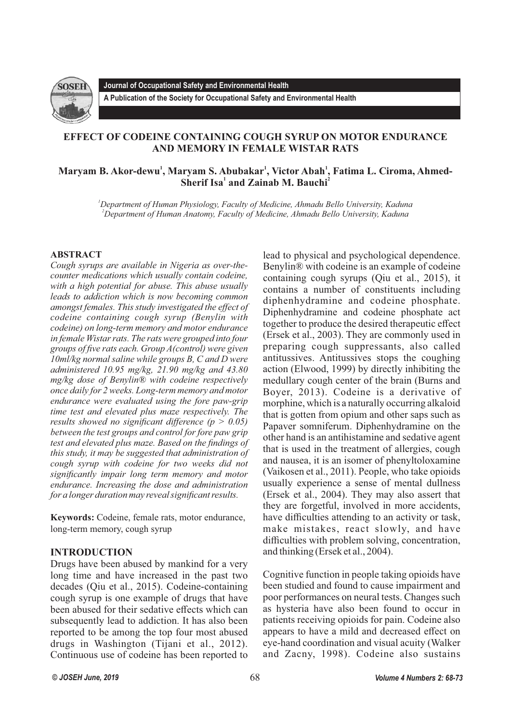

**Journal of Occupational Safety and Environmental Health**

**A Publication of the Society for Occupational Safety and Environmental Health** 

# **EFFECT OF CODEINE CONTAINING COUGH SYRUP ON MOTOR ENDURANCE AND MEMORY IN FEMALE WISTAR RATS**

# **<sup>1</sup> <sup>1</sup> <sup>1</sup> Maryam B. Akor-dewu , Maryam S. Abubakar , Victor Abah , Fatima L. Ciroma, Ahmed-12** Sherif Isa<sup>1</sup> and Zainab M. Bauchi<sup>2</sup>

*<sup>1</sup>Department of Human Physiology, Faculty of Medicine, Ahmadu Bello University, Kaduna <sup>2</sup>Department of Human Anatomy, Faculty of Medicine, Ahmadu Bello University, Kaduna*

## **ABSTRACT**

*Cough syrups are available in Nigeria as over-thecounter medications which usually contain codeine, with a high potential for abuse. This abuse usually leads to addiction which is now becoming common amongst females. This study investigated the effect of codeine containing cough syrup (Benylin with codeine) on long-term memory and motor endurance in female Wistar rats. The rats were grouped into four groups of five rats each. Group A(control) were given 10ml/kg normal saline while groups B, C and D were administered 10.95 mg/kg, 21.90 mg/kg and 43.80 mg/kg dose of Benylin® with codeine respectively once daily for 2 weeks. Long-term memory and motor endurance were evaluated using the fore paw-grip time test and elevated plus maze respectively. The results showed no significant difference (p > 0.05) between the test groups and control for fore paw grip test and elevated plus maze. Based on the findings of this study, it may be suggested that administration of cough syrup with codeine for two weeks did not significantly impair long term memory and motor endurance. Increasing the dose and administration for a longer duration may reveal significant results.*

**Keywords:** Codeine, female rats, motor endurance, long-term memory, cough syrup

## **INTRODUCTION**

Drugs have been abused by mankind for a very long time and have increased in the past two decades (Qiu et al., 2015). Codeine-containing cough syrup is one example of drugs that have been abused for their sedative effects which can subsequently lead to addiction. It has also been reported to be among the top four most abused drugs in Washington (Tijani et al., 2012). Continuous use of codeine has been reported to

lead to physical and psychological dependence. Benylin® with codeine is an example of codeine containing cough syrups (Qiu et al., 2015), it contains a number of constituents including diphenhydramine and codeine phosphate. Diphenhydramine and codeine phosphate act together to produce the desired therapeutic effect (Ersek et al., 2003). They are commonly used in preparing cough suppressants, also called antitussives. Antitussives stops the coughing action (Elwood, 1999) by directly inhibiting the medullary cough center of the brain (Burns and Boyer, 2013). Codeine is a derivative of morphine, which is a naturally occurring alkaloid that is gotten from opium and other saps such as Papaver somniferum. Diphenhydramine on the other hand is an antihistamine and sedative agent that is used in the treatment of allergies, cough and nausea, it is an isomer of phenyltoloxamine (Vaikosen et al., 2011). People, who take opioids usually experience a sense of mental dullness (Ersek et al., 2004). They may also assert that they are forgetful, involved in more accidents, have difficulties attending to an activity or task, make mistakes, react slowly, and have difficulties with problem solving, concentration, and thinking (Ersek et al., 2004).

Cognitive function in people taking opioids have been studied and found to cause impairment and poor performances on neural tests. Changes such as hysteria have also been found to occur in patients receiving opioids for pain. Codeine also appears to have a mild and decreased effect on eye-hand coordination and visual acuity (Walker and Zacny, 1998). Codeine also sustains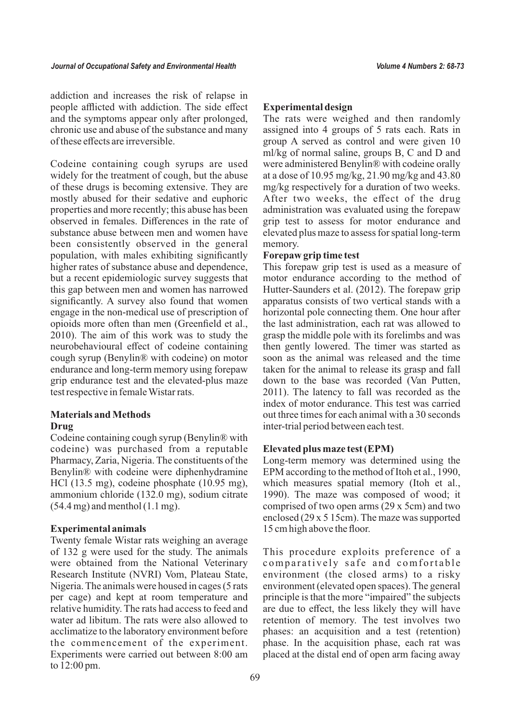addiction and increases the risk of relapse in people afflicted with addiction. The side effect and the symptoms appear only after prolonged, chronic use and abuse of the substance and many of these effects are irreversible.

Codeine containing cough syrups are used widely for the treatment of cough, but the abuse of these drugs is becoming extensive. They are mostly abused for their sedative and euphoric properties and more recently; this abuse has been observed in females. Differences in the rate of substance abuse between men and women have been consistently observed in the general population, with males exhibiting significantly higher rates of substance abuse and dependence, but a recent epidemiologic survey suggests that this gap between men and women has narrowed significantly. A survey also found that women engage in the non-medical use of prescription of opioids more often than men (Greenfield et al., 2010). The aim of this work was to study the neurobehavioural effect of codeine containing cough syrup (Benylin® with codeine) on motor endurance and long-term memory using forepaw grip endurance test and the elevated-plus maze test respective in female Wistar rats.

## **Materials and Methods Drug**

Codeine containing cough syrup (Benylin® with codeine) was purchased from a reputable Pharmacy, Zaria, Nigeria. The constituents of the Benylin® with codeine were diphenhydramine HCl (13.5 mg), codeine phosphate (10.95 mg), ammonium chloride (132.0 mg), sodium citrate  $(54.4 \text{ mg})$  and menthol  $(1.1 \text{ mg})$ .

## **Experimental animals**

Twenty female Wistar rats weighing an average of 132 g were used for the study. The animals were obtained from the National Veterinary Research Institute (NVRI) Vom, Plateau State, Nigeria. The animals were housed in cages (5 rats per cage) and kept at room temperature and relative humidity. The rats had access to feed and water ad libitum. The rats were also allowed to acclimatize to the laboratory environment before the commencement of the experiment. Experiments were carried out between 8:00 am to 12:00 pm.

# **Experimental design**

The rats were weighed and then randomly assigned into 4 groups of 5 rats each. Rats in group A served as control and were given 10 ml/kg of normal saline, groups B, C and D and were administered Benylin® with codeine orally at a dose of 10.95 mg/kg, 21.90 mg/kg and 43.80 mg/kg respectively for a duration of two weeks. After two weeks, the effect of the drug administration was evaluated using the forepaw grip test to assess for motor endurance and elevated plus maze to assess for spatial long-term memory.

## **Forepaw grip time test**

This forepaw grip test is used as a measure of motor endurance according to the method of Hutter-Saunders et al. (2012). The forepaw grip apparatus consists of two vertical stands with a horizontal pole connecting them. One hour after the last administration, each rat was allowed to grasp the middle pole with its forelimbs and was then gently lowered. The timer was started as soon as the animal was released and the time taken for the animal to release its grasp and fall down to the base was recorded (Van Putten, 2011). The latency to fall was recorded as the index of motor endurance. This test was carried out three times for each animal with a 30 seconds inter-trial period between each test.

## **Elevated plus maze test (EPM)**

Long-term memory was determined using the EPM according to the method of Itoh et al., 1990, which measures spatial memory (Itoh et al., 1990). The maze was composed of wood; it comprised of two open arms (29 x 5cm) and two enclosed (29 x 5 15cm). The maze was supported 15 cm high above the floor.

This procedure exploits preference of a comparatively safe and comfortable environment (the closed arms) to a risky environment (elevated open spaces). The general principle is that the more "impaired" the subjects are due to effect, the less likely they will have retention of memory. The test involves two phases: an acquisition and a test (retention) phase. In the acquisition phase, each rat was placed at the distal end of open arm facing away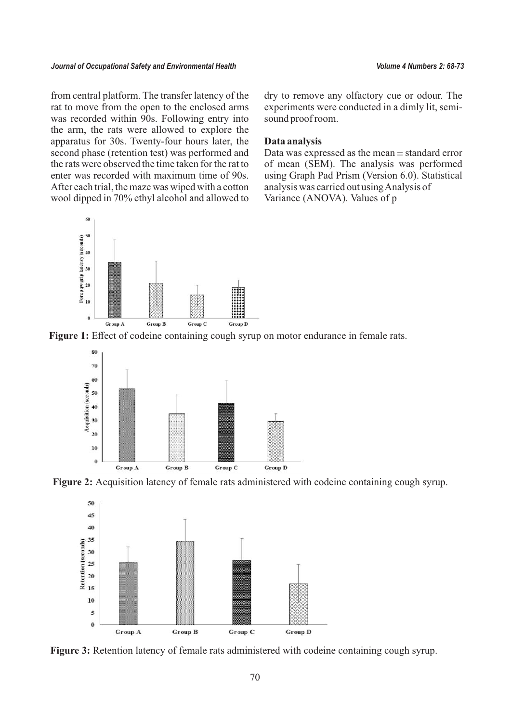#### *Journal of Occupational Safety and Environmental Health Volume 4 Numbers 2: 68-73*

from central platform. The transfer latency of the rat to move from the open to the enclosed arms was recorded within 90s. Following entry into the arm, the rats were allowed to explore the apparatus for 30s. Twenty-four hours later, the second phase (retention test) was performed and the rats were observed the time taken for the rat to enter was recorded with maximum time of 90s. After each trial, the maze was wiped with a cotton wool dipped in 70% ethyl alcohol and allowed to



dry to remove any olfactory cue or odour. The experiments were conducted in a dimly lit, semisound proof room.

#### **Data analysis**

Data was expressed as the mean  $\pm$  standard error of mean (SEM). The analysis was performed using Graph Pad Prism (Version 6.0). Statistical analysis was carried out using Analysis of Variance (ANOVA). Values of p

Figure 1: Effect of codeine containing cough syrup on motor endurance in female rats.







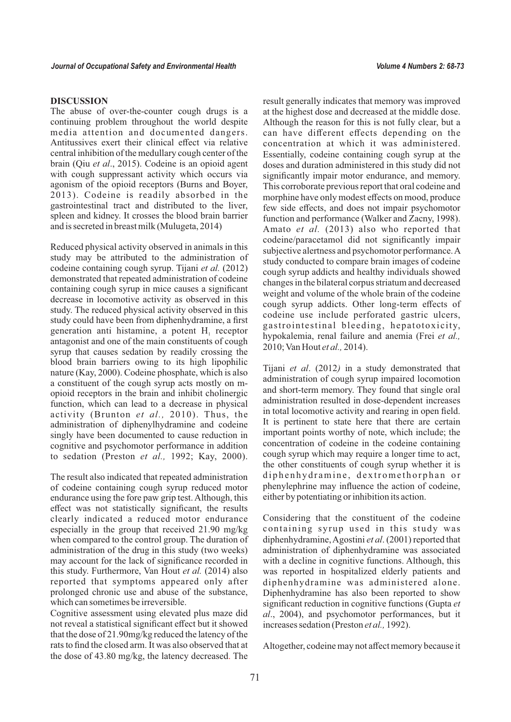#### **DISCUSSION**

The abuse of over-the-counter cough drugs is a continuing problem throughout the world despite media attention and documented dangers. Antitussives exert their clinical effect via relative central inhibition of the medullary cough center of the brain (Qiu *et al*., 2015). Codeine is an opioid agent with cough suppressant activity which occurs via agonism of the opioid receptors (Burns and Boyer, 2013). Codeine is readily absorbed in the gastrointestinal tract and distributed to the liver, spleen and kidney. It crosses the blood brain barrier and is secreted in breast milk (Mulugeta, 2014)

Reduced physical activity observed in animals in this study may be attributed to the administration of codeine containing cough syrup. Tijani *et al.* (2012) demonstrated that repeated administration of codeine containing cough syrup in mice causes a significant decrease in locomotive activity as observed in this study. The reduced physical activity observed in this study could have been from diphenhydramine, a first generation anti histamine, a potent  $H<sub>1</sub>$  receptor antagonist and one of the main constituents of cough syrup that causes sedation by readily crossing the blood brain barriers owing to its high lipophilic nature (Kay, 2000). Codeine phosphate, which is also a constituent of the cough syrup acts mostly on mopioid receptors in the brain and inhibit cholinergic function, which can lead to a decrease in physical activity (Brunton *et al.,* 2010). Thus, the administration of diphenylhydramine and codeine singly have been documented to cause reduction in cognitive and psychomotor performance in addition to sedation (Preston *et al.,* 1992; Kay, 2000).

The result also indicated that repeated administration of codeine containing cough syrup reduced motor endurance using the fore paw grip test. Although, this effect was not statistically significant, the results clearly indicated a reduced motor endurance especially in the group that received 21.90 mg/kg when compared to the control group. The duration of administration of the drug in this study (two weeks) may account for the lack of significance recorded in this study. Furthermore, Van Hout *et al.* (2014) also reported that symptoms appeared only after prolonged chronic use and abuse of the substance, which can sometimes be irreversible.

Cognitive assessment using elevated plus maze did not reveal a statistical significant effect but it showed that the dose of 21.90mg/kg reduced the latency of the rats to find the closed arm. It was also observed that at the dose of 43.80 mg/kg, the latency decreased. The

result generally indicates that memory was improved at the highest dose and decreased at the middle dose. Although the reason for this is not fully clear, but a can have different effects depending on the concentration at which it was administered. Essentially, codeine containing cough syrup at the doses and duration administered in this study did not significantly impair motor endurance, and memory. This corroborate previous report that oral codeine and morphine have only modest effects on mood, produce few side effects, and does not impair psychomotor function and performance (Walker and Zacny, 1998). Amato *et al.* (2013) also who reported that codeine/paracetamol did not significantly impair subjective alertness and psychomotor performance. A study conducted to compare brain images of codeine cough syrup addicts and healthy individuals showed changes in the bilateral corpus striatum and decreased weight and volume of the whole brain of the codeine cough syrup addicts. Other long-term effects of codeine use include perforated gastric ulcers, gastrointestinal bleeding, hepatotoxicity, hypokalemia, renal failure and anemia (Frei *et al.,* 2010; Van Hout *et al.,* 2014).

Tijani *et al*. (2012*)* in a study demonstrated that administration of cough syrup impaired locomotion and short-term memory. They found that single oral administration resulted in dose-dependent increases in total locomotive activity and rearing in open field. It is pertinent to state here that there are certain important points worthy of note, which include; the concentration of codeine in the codeine containing cough syrup which may require a longer time to act, the other constituents of cough syrup whether it is diphenhydramine, dextromethorphan or phenylephrine may influence the action of codeine, either by potentiating or inhibition its action.

Considering that the constituent of the codeine containing syrup used in this study was diphenhydramine, Agostini *et al*. (2001) reported that administration of diphenhydramine was associated with a decline in cognitive functions. Although, this was reported in hospitalized elderly patients and diphenhydramine was administered alone. Diphenhydramine has also been reported to show significant reduction in cognitive functions (Gupta *et al*., 2004), and psychomotor performances, but it increases sedation (Preston *et al.,* 1992).

Altogether, codeine may not affect memory because it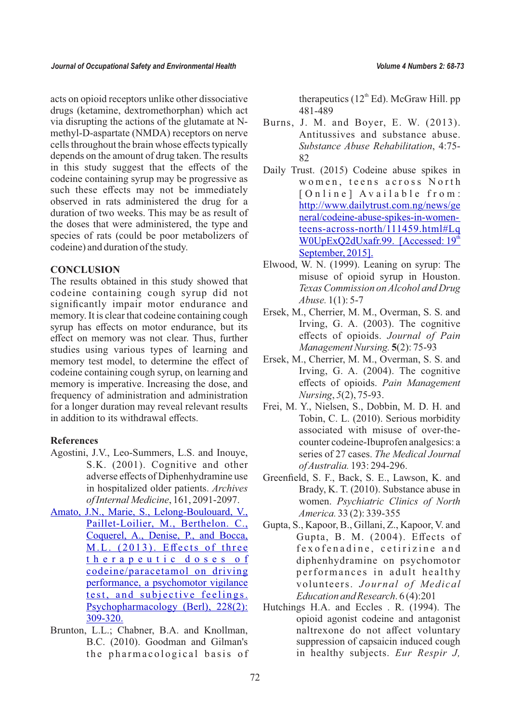acts on opioid receptors unlike other dissociative drugs (ketamine, dextromethorphan) which act via disrupting the actions of the glutamate at Nmethyl-D-aspartate (NMDA) receptors on nerve cells throughout the brain whose effects typically depends on the amount of drug taken. The results in this study suggest that the effects of the codeine containing syrup may be progressive as such these effects may not be immediately observed in rats administered the drug for a duration of two weeks. This may be as result of the doses that were administered, the type and species of rats (could be poor metabolizers of codeine) and duration of the study.

#### **CONCLUSION**

The results obtained in this study showed that codeine containing cough syrup did not significantly impair motor endurance and memory. It is clear that codeine containing cough syrup has effects on motor endurance, but its effect on memory was not clear. Thus, further studies using various types of learning and memory test model, to determine the effect of codeine containing cough syrup, on learning and memory is imperative. Increasing the dose, and frequency of administration and administration for a longer duration may reveal relevant results in addition to its withdrawal effects.

#### **References**

- Agostini, J.V., Leo-Summers, L.S. and Inouye, S.K. (2001). Cognitive and other adverse effects of Diphenhydramine use in hospitalized older patients. *Archives of Internal Medicine*, 161, 2091-2097.
- [Amato, J.N.,](https://www.ncbi.nlm.nih.gov/pubmed/?term=Amato%20JN%5BAuthor%5D&cauthor=true&cauthor_uid=23474890) [Marie, S.,](https://www.ncbi.nlm.nih.gov/pubmed/?term=Marie%20S%5BAuthor%5D&cauthor=true&cauthor_uid=23474890) [Lelong-Boulouard, V.,](https://www.ncbi.nlm.nih.gov/pubmed/?term=Lelong-Boulouard%20V%5BAuthor%5D&cauthor=true&cauthor_uid=23474890)  [Paillet-Loilier,](https://www.ncbi.nlm.nih.gov/pubmed/?term=Paillet-Loilier%20M%5BAuthor%5D&cauthor=true&cauthor_uid=23474890) M., [Berthelon.](https://www.ncbi.nlm.nih.gov/pubmed/?term=Berthelon%20C%5BAuthor%5D&cauthor=true&cauthor_uid=23474890) C., [Coquerel, A.,](https://www.ncbi.nlm.nih.gov/pubmed/?term=Coquerel%20A%5BAuthor%5D&cauthor=true&cauthor_uid=23474890) [Denise, P., and](https://www.ncbi.nlm.nih.gov/pubmed/?term=Denise%20P%5BAuthor%5D&cauthor=true&cauthor_uid=23474890) [Bocca,](https://www.ncbi.nlm.nih.gov/pubmed/?term=Bocca%20ML%5BAuthor%5D&cauthor=true&cauthor_uid=23474890)  [M.L.](https://www.ncbi.nlm.nih.gov/pubmed/?term=Bocca%20ML%5BAuthor%5D&cauthor=true&cauthor_uid=23474890) (2013). Effects of three therapeutic doses of [codeine/paracetamol](https://www.ncbi.nlm.nih.gov/pubmed/?term=Bocca%20ML%5BAuthor%5D&cauthor=true&cauthor_uid=23474890) on driving [performance, a psychomotor vigilance](https://www.ncbi.nlm.nih.gov/pubmed/?term=Bocca%20ML%5BAuthor%5D&cauthor=true&cauthor_uid=23474890)  te[st,](https://www.ncbi.nlm.nih.gov/pubmed/?term=Bocca%20ML%5BAuthor%5D&cauthor=true&cauthor_uid=23474890) and subjective feelings. [Psychopharmacology](https://www.ncbi.nlm.nih.gov/pubmed/?term=Bocca%20ML%5BAuthor%5D&cauthor=true&cauthor_uid=23474890) (Berl), 228(2): [309-320.](https://www.ncbi.nlm.nih.gov/pubmed/?term=Bocca%20ML%5BAuthor%5D&cauthor=true&cauthor_uid=23474890)
- Brunton, L.L.; Chabner, B.A. and Knollman, B.C. (2010). Goodman and Gilman's the pharmacological basis of

therapeutics  $(12<sup>th</sup> Ed)$ . McGraw Hill. pp 481-489

- Burns, J. M. and Boyer, E. W. (2013). Antitussives and substance abuse. *Substance Abuse Rehabilitation*, 4:75- 82
- Daily Trust. (2015) Codeine abuse spikes in women, teens across North [Online] Available from: [http://www.dailytrust.com.ng/news/ge](http://www.dailytrust.com.ng/news/general/codeine-abuse-spikes-in-women-teens-across-north/111459.html) [neral/codeine-abuse-spikes-in-women](http://www.dailytrust.com.ng/news/general/codeine-abuse-spikes-in-women-teens-across-north/111459.html)[teens-across-north/111459.html#Lq](http://www.dailytrust.com.ng/news/general/codeine-abuse-spikes-in-women-teens-across-north/111459.html)  W0UpExO2dUxafr.99. [Accessed:  $19<sup>th</sup>$  $19<sup>th</sup>$  $19<sup>th</sup>$ [September, 2015\].](http://www.dailytrust.com.ng/news/general/codeine-abuse-spikes-in-women-teens-across-north/111459.html)
- Elwood, W. N. (1999). Leaning on syrup: The misuse of opioid syrup in Houston. *Texas Commission on Alcohol and Drug Abuse.* 1(1): 5-7
- Ersek, M., Cherrier, M. M., Overman, S. S. and Irving, G. A. (2003). The cognitive effects of opioids. *Journal of Pain Management Nursing.* **5**(2): 75-93
- Ersek, M., Cherrier, M. M., Overman, S. S. and Irving, G. A. (2004). The cognitive effects of opioids. *Pain Management Nursing*, *5*(2), 75-93.
- Frei, M. Y., Nielsen, S., Dobbin, M. D. H. and Tobin, C. L. (2010). Serious morbidity associated with misuse of over-thecounter codeine-Ibuprofen analgesics: a series of 27 cases. *The Medical Journal of Australia.* 193: 294-296.
- Greenfield, S. F., Back, S. E., Lawson, K. and Brady, K. T. (2010). Substance abuse in women. *Psychiatric Clinics of North America.* 33 (2): 339-355
- Gupta, S., Kapoor, B., Gillani, Z., Kapoor, V. and Gupta, B. M. (2004). Effects of fexofenadine, cetirizine and diphenhydramine on psychomotor p erformances in adult healthy volunteers. *Journal of Medical Education and Research*. 6 (4):201
- Hutchings H.A. and Eccles . R. (1994). The opioid agonist codeine and antagonist naltrexone do not affect voluntary suppression of capsaicin induced cough in healthy subjects. *Eur Respir J,*